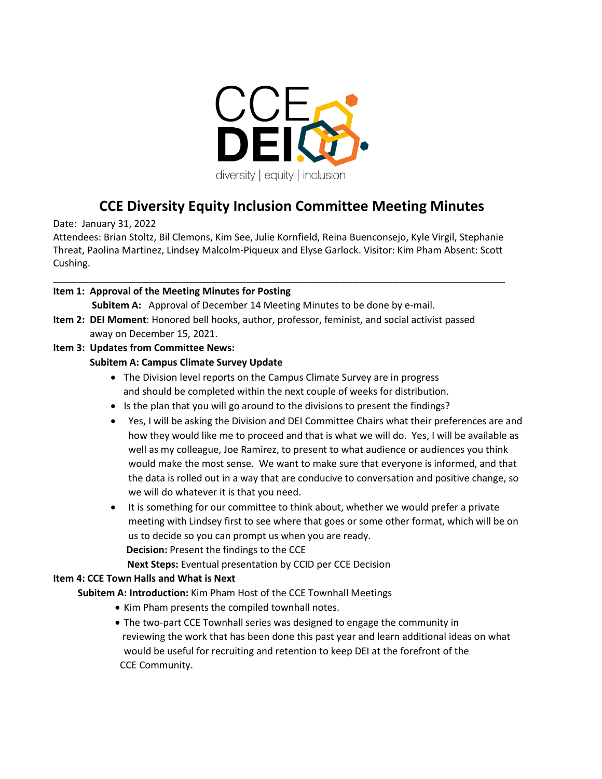

# **CCE Diversity Equity Inclusion Committee Meeting Minutes**

Date: January 31, 2022

Attendees: Brian Stoltz, Bil Clemons, Kim See, Julie Kornfield, Reina Buenconsejo, Kyle Virgil, Stephanie Threat, Paolina Martinez, Lindsey Malcolm-Piqueux and Elyse Garlock. Visitor: Kim Pham Absent: Scott Cushing.

\_\_\_\_\_\_\_\_\_\_\_\_\_\_\_\_\_\_\_\_\_\_\_\_\_\_\_\_\_\_\_\_\_\_\_\_\_\_\_\_\_\_\_\_\_\_\_\_\_\_\_\_\_\_\_\_\_\_\_\_\_\_\_\_\_\_\_\_\_\_\_\_\_\_\_\_\_

#### **Item 1: Approval of the Meeting Minutes for Posting**

**Subitem A:** Approval of December 14 Meeting Minutes to be done by e-mail.

**Item 2: DEI Moment**: Honored bell hooks, author, professor, feminist, and social activist passed away on December 15, 2021.

#### **Item 3: Updates from Committee News:**

#### **Subitem A: Campus Climate Survey Update**

- The Division level reports on the Campus Climate Survey are in progress and should be completed within the next couple of weeks for distribution.
- Is the plan that you will go around to the divisions to present the findings?
- Yes, I will be asking the Division and DEI Committee Chairs what their preferences are and how they would like me to proceed and that is what we will do. Yes, I will be available as well as my colleague, Joe Ramirez, to present to what audience or audiences you think would make the most sense. We want to make sure that everyone is informed, and that the data is rolled out in a way that are conducive to conversation and positive change, so we will do whatever it is that you need.
- It is something for our committee to think about, whether we would prefer a private meeting with Lindsey first to see where that goes or some other format, which will be on us to decide so you can prompt us when you are ready. **Decision:** Present the findings to the CCE

**Next Steps:** Eventual presentation by CCID per CCE Decision

#### **Item 4: CCE Town Halls and What is Next**

 **Subitem A: Introduction:** Kim Pham Host of the CCE Townhall Meetings

- Kim Pham presents the compiled townhall notes.
- The two-part CCE Townhall series was designed to engage the community in reviewing the work that has been done this past year and learn additional ideas on what would be useful for recruiting and retention to keep DEI at the forefront of the CCE Community.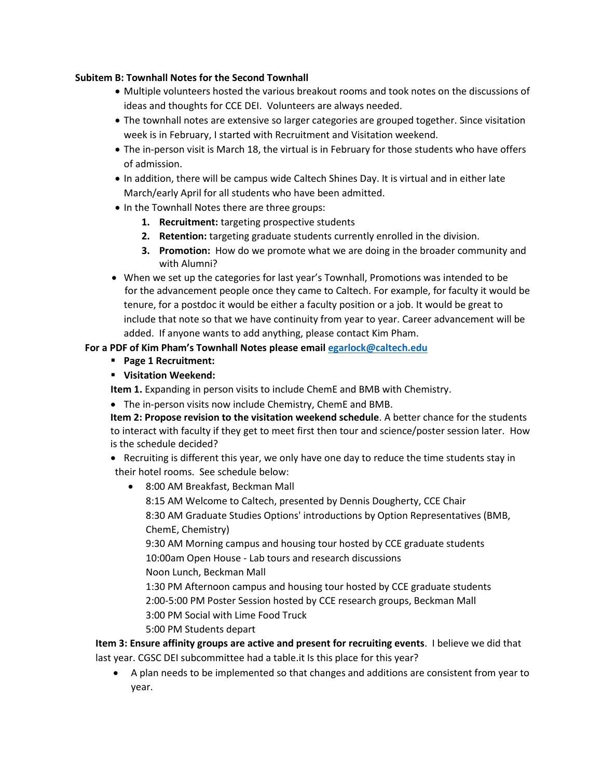#### **Subitem B: Townhall Notes for the Second Townhall**

- Multiple volunteers hosted the various breakout rooms and took notes on the discussions of ideas and thoughts for CCE DEI. Volunteers are always needed.
- The townhall notes are extensive so larger categories are grouped together. Since visitation week is in February, I started with Recruitment and Visitation weekend.
- The in-person visit is March 18, the virtual is in February for those students who have offers of admission.
- In addition, there will be campus wide Caltech Shines Day. It is virtual and in either late March/early April for all students who have been admitted.
- In the Townhall Notes there are three groups:
	- **1. Recruitment:** targeting prospective students
	- **2. Retention:** targeting graduate students currently enrolled in the division.
	- **3. Promotion:** How do we promote what we are doing in the broader community and with Alumni?
- When we set up the categories for last year's Townhall, Promotions was intended to be for the advancement people once they came to Caltech. For example, for faculty it would be tenure, for a postdoc it would be either a faculty position or a job. It would be great to include that note so that we have continuity from year to year. Career advancement will be added. If anyone wants to add anything, please contact Kim Pham.

### **For a PDF of Kim Pham's Townhall Notes please emai[l egarlock@caltech.edu](mailto:egarlock@caltech.edu)**

- **Page 1 Recruitment:**
- **Visitation Weekend:**

**Item 1.** Expanding in person visits to include ChemE and BMB with Chemistry.

• The in-person visits now include Chemistry, ChemE and BMB.

**Item 2: Propose revision to the visitation weekend schedule**. A better chance for the students to interact with faculty if they get to meet first then tour and science/poster session later. How is the schedule decided?

- Recruiting is different this year, we only have one day to reduce the time students stay in their hotel rooms. See schedule below:
	- 8:00 AM Breakfast, Beckman Mall

8:15 AM Welcome to Caltech, presented by Dennis Dougherty, CCE Chair 8:30 AM Graduate Studies Options' introductions by Option Representatives (BMB, ChemE, Chemistry)

9:30 AM Morning campus and housing tour hosted by CCE graduate students 10:00am Open House - Lab tours and research discussions

Noon Lunch, Beckman Mall

1:30 PM Afternoon campus and housing tour hosted by CCE graduate students 2:00-5:00 PM Poster Session hosted by CCE research groups, Beckman Mall 3:00 PM Social with Lime Food Truck

5:00 PM Students depart

**Item 3: Ensure affinity groups are active and present for recruiting events**. I believe we did that last year. CGSC DEI subcommittee had a table.it Is this place for this year?

• A plan needs to be implemented so that changes and additions are consistent from year to year.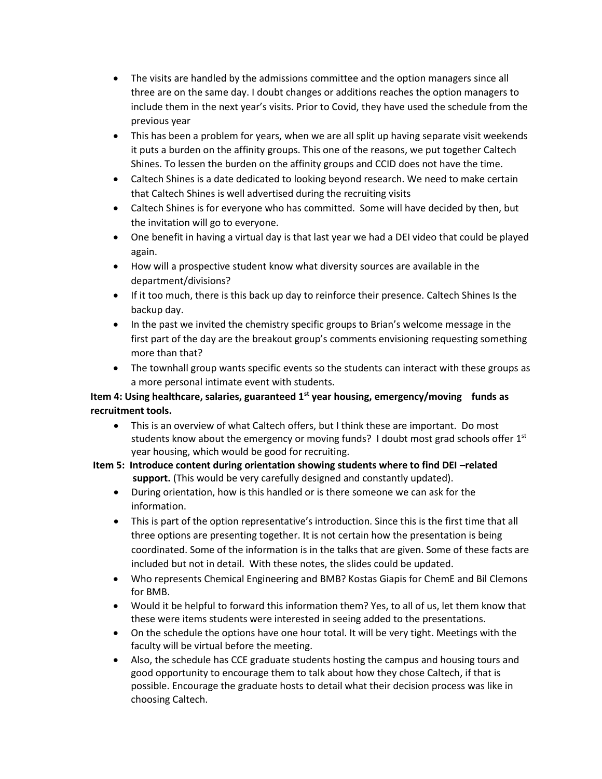- The visits are handled by the admissions committee and the option managers since all three are on the same day. I doubt changes or additions reaches the option managers to include them in the next year's visits. Prior to Covid, they have used the schedule from the previous year
- This has been a problem for years, when we are all split up having separate visit weekends it puts a burden on the affinity groups. This one of the reasons, we put together Caltech Shines. To lessen the burden on the affinity groups and CCID does not have the time.
- Caltech Shines is a date dedicated to looking beyond research. We need to make certain that Caltech Shines is well advertised during the recruiting visits
- Caltech Shines is for everyone who has committed. Some will have decided by then, but the invitation will go to everyone.
- One benefit in having a virtual day is that last year we had a DEI video that could be played again.
- How will a prospective student know what diversity sources are available in the department/divisions?
- If it too much, there is this back up day to reinforce their presence. Caltech Shines Is the backup day.
- In the past we invited the chemistry specific groups to Brian's welcome message in the first part of the day are the breakout group's comments envisioning requesting something more than that?
- The townhall group wants specific events so the students can interact with these groups as a more personal intimate event with students.

## **Item 4: Using healthcare, salaries, guaranteed 1st year housing, emergency/moving funds as recruitment tools.**

- This is an overview of what Caltech offers, but I think these are important. Do most students know about the emergency or moving funds? I doubt most grad schools offer  $1<sup>st</sup>$ year housing, which would be good for recruiting.
- **Item 5: Introduce content during orientation showing students where to find DEI –related support.** (This would be very carefully designed and constantly updated).
	- During orientation, how is this handled or is there someone we can ask for the information.
	- This is part of the option representative's introduction. Since this is the first time that all three options are presenting together. It is not certain how the presentation is being coordinated. Some of the information is in the talks that are given. Some of these facts are included but not in detail. With these notes, the slides could be updated.
	- Who represents Chemical Engineering and BMB? Kostas Giapis for ChemE and Bil Clemons for BMB.
	- Would it be helpful to forward this information them? Yes, to all of us, let them know that these were items students were interested in seeing added to the presentations.
	- On the schedule the options have one hour total. It will be very tight. Meetings with the faculty will be virtual before the meeting.
	- Also, the schedule has CCE graduate students hosting the campus and housing tours and good opportunity to encourage them to talk about how they chose Caltech, if that is possible. Encourage the graduate hosts to detail what their decision process was like in choosing Caltech.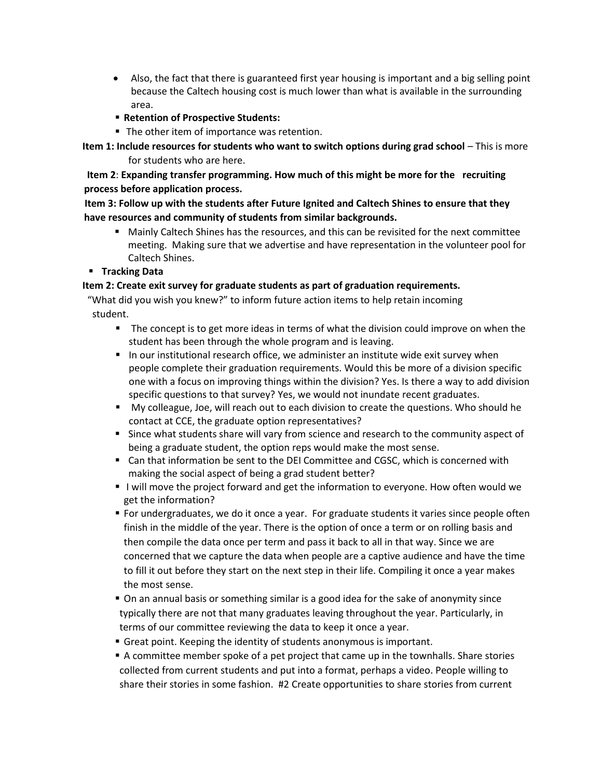- Also, the fact that there is guaranteed first year housing is important and a big selling point because the Caltech housing cost is much lower than what is available in the surrounding area.
- **Retention of Prospective Students:**
- The other item of importance was retention.

 **Item 1: Include resources for students who want to switch options during grad school** – This is more for students who are here.

 **Item 2**: **Expanding transfer programming. How much of this might be more for the recruiting process before application process.**

 **Item 3: Follow up with the students after Future Ignited and Caltech Shines to ensure that they have resources and community of students from similar backgrounds.** 

- Mainly Caltech Shines has the resources, and this can be revisited for the next committee meeting. Making sure that we advertise and have representation in the volunteer pool for Caltech Shines.
- **Tracking Data**

#### **Item 2: Create exit survey for graduate students as part of graduation requirements.**

 "What did you wish you knew?" to inform future action items to help retain incoming student.

- The concept is to get more ideas in terms of what the division could improve on when the student has been through the whole program and is leaving.
- In our institutional research office, we administer an institute wide exit survey when people complete their graduation requirements. Would this be more of a division specific one with a focus on improving things within the division? Yes. Is there a way to add division specific questions to that survey? Yes, we would not inundate recent graduates.
- My colleague, Joe, will reach out to each division to create the questions. Who should he contact at CCE, the graduate option representatives?
- Since what students share will vary from science and research to the community aspect of being a graduate student, the option reps would make the most sense.
- Can that information be sent to the DEI Committee and CGSC, which is concerned with making the social aspect of being a grad student better?
- I will move the project forward and get the information to everyone. How often would we get the information?
- **For undergraduates, we do it once a year. For graduate students it varies since people often** finish in the middle of the year. There is the option of once a term or on rolling basis and then compile the data once per term and pass it back to all in that way. Since we are concerned that we capture the data when people are a captive audience and have the time to fill it out before they start on the next step in their life. Compiling it once a year makes the most sense.
- On an annual basis or something similar is a good idea for the sake of anonymity since typically there are not that many graduates leaving throughout the year. Particularly, in terms of our committee reviewing the data to keep it once a year.
- Great point. Keeping the identity of students anonymous is important.
- **•** A committee member spoke of a pet project that came up in the townhalls. Share stories collected from current students and put into a format, perhaps a video. People willing to share their stories in some fashion. #2 Create opportunities to share stories from current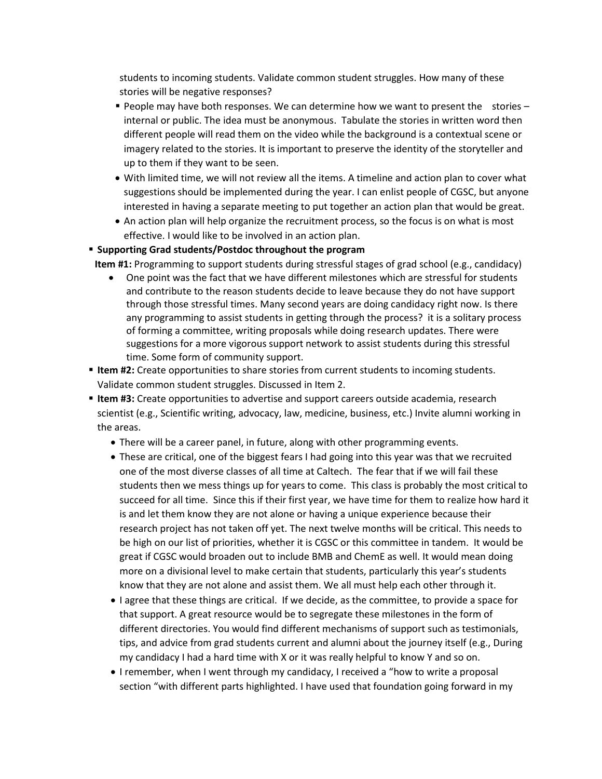students to incoming students. Validate common student struggles. How many of these stories will be negative responses?

- **People may have both responses. We can determine how we want to present the stories** internal or public. The idea must be anonymous. Tabulate the stories in written word then different people will read them on the video while the background is a contextual scene or imagery related to the stories. It is important to preserve the identity of the storyteller and up to them if they want to be seen.
- With limited time, we will not review all the items. A timeline and action plan to cover what suggestions should be implemented during the year. I can enlist people of CGSC, but anyone interested in having a separate meeting to put together an action plan that would be great.
- An action plan will help organize the recruitment process, so the focus is on what is most effective. I would like to be involved in an action plan.

#### ▪ **Supporting Grad students/Postdoc throughout the program**

 **Item #1:** Programming to support students during stressful stages of grad school (e.g., candidacy)

- One point was the fact that we have different milestones which are stressful for students and contribute to the reason students decide to leave because they do not have support through those stressful times. Many second years are doing candidacy right now. Is there any programming to assist students in getting through the process? it is a solitary process of forming a committee, writing proposals while doing research updates. There were suggestions for a more vigorous support network to assist students during this stressful time. Some form of community support.
- **Item #2:** Create opportunities to share stories from current students to incoming students. Validate common student struggles. Discussed in Item 2.
- **Item #3:** Create opportunities to advertise and support careers outside academia, research scientist (e.g., Scientific writing, advocacy, law, medicine, business, etc.) Invite alumni working in the areas.
	- There will be a career panel, in future, along with other programming events.
	- These are critical, one of the biggest fears I had going into this year was that we recruited one of the most diverse classes of all time at Caltech. The fear that if we will fail these students then we mess things up for years to come. This class is probably the most critical to succeed for all time. Since this if their first year, we have time for them to realize how hard it is and let them know they are not alone or having a unique experience because their research project has not taken off yet. The next twelve months will be critical. This needs to be high on our list of priorities, whether it is CGSC or this committee in tandem. It would be great if CGSC would broaden out to include BMB and ChemE as well. It would mean doing more on a divisional level to make certain that students, particularly this year's students know that they are not alone and assist them. We all must help each other through it.
	- I agree that these things are critical. If we decide, as the committee, to provide a space for that support. A great resource would be to segregate these milestones in the form of different directories. You would find different mechanisms of support such as testimonials, tips, and advice from grad students current and alumni about the journey itself (e.g., During my candidacy I had a hard time with X or it was really helpful to know Y and so on.
	- I remember, when I went through my candidacy, I received a "how to write a proposal section "with different parts highlighted. I have used that foundation going forward in my